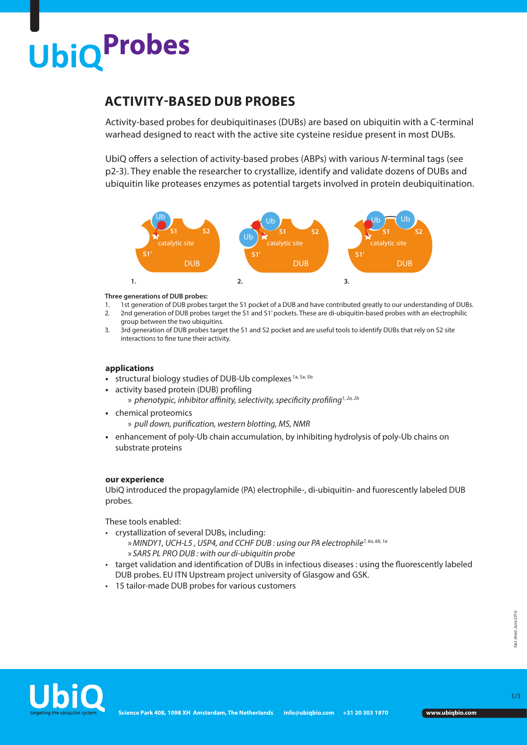# **UbiQProbes**

### **ACTIVITY-BASED DUB PROBES**

Activity-based probes for deubiquitinases (DUBs) are based on ubiquitin with a C-terminal warhead designed to react with the active site cysteine residue present in most DUBs.

UbiQ offers a selection of activity-based probes (ABPs) with various *N-*terminal tags (see p2-3). They enable the researcher to crystallize, identify and validate dozens of DUBs and ubiquitin like proteases enzymes as potential targets involved in protein deubiquitination.



#### **Three generations of DUB probes:**

- 1. 1st generation of DUB probes target the S1 pocket of a DUB and have contributed greatly to our understanding of DUBs. 2. 2nd generation of DUB probes target the S1 and S1' pockets. These are di-ubiquitin-based probes with an electrophilic group between the two ubiquitins.
- 3. 3rd generation of DUB probes target the S1 and S2 pocket and are useful tools to identify DUBs that rely on S2 site interactions to fine tune their activity.

#### **applications**

- **•** structural biology studies of DUB-Ub complexes 1a, 5a, 5b
- activity based protein (DUB) profiling
	- » *phenotypic, inhibitor affinity, selectivity, specificity profiling1, 2a, 2b*
- chemical proteomics
	- » *pull down, purification, western blotting, MS, NMR*
- enhancement of poly-Ub chain accumulation, by inhibiting hydrolysis of poly-Ub chains on substrate proteins

#### **our experience**

UbiQ introduced the propagylamide (PA) electrophile-, di-ubiquitin- and fuorescently labeled DUB probes.

These tools enabled:

- crystallization of several DUBs, including:
	- »*MINDY1, UCH-L5 , USP4, and CCHF DUB : using our PA electrophile7, 6a, 6b, 1a*
	- » *SARS PL PRO DUB : with our di-ubiquitin probe*
- target validation and identification of DUBs in infectious diseases : using the fluorescently labeled DUB probes. EU ITN Upstream project university of Glasgow and GSK.
- 15 tailor-made DUB probes for various customers



1/3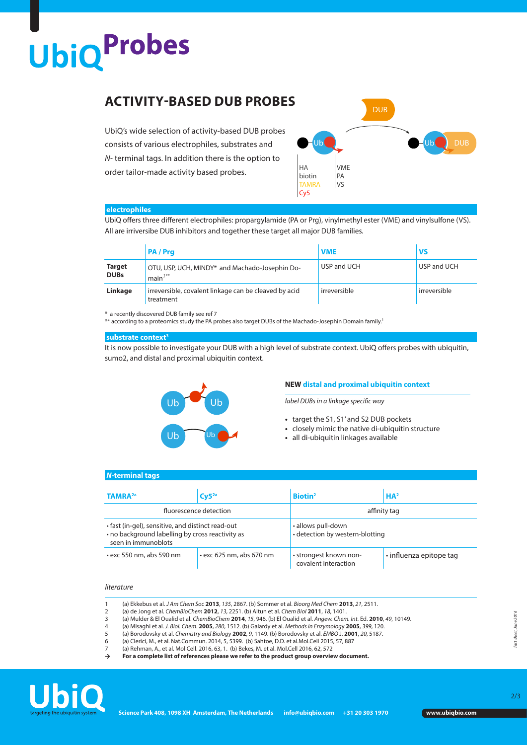## **UbiQProbes**

## **ACTIVITY-BASED DUB PROBES**

UbiQ's wide selection of activity-based DUB probes consists of various electrophiles, substrates and *N-* terminal tags. In addition there is the option to order tailor-made activity based probes.



#### **electrophiles**

UbiQ offers three different electrophiles: propargylamide (PA or Prg), vinylmethyl ester (VME) and vinylsulfone (VS). All are irriversibe DUB inhibitors and together these target all major DUB families.

|                              | <b>PA/Pra</b>                                                                           | <b>VME</b>   | VS           |
|------------------------------|-----------------------------------------------------------------------------------------|--------------|--------------|
| <b>Target</b><br><b>DUBs</b> | OTU, USP, UCH, MINDY* and Machado-Josephin Do-<br>$1$ main <sup><math>1***</math></sup> | USP and UCH  | USP and UCH  |
| Linkage                      | irreversible, covalent linkage can be cleaved by acid<br>treatment                      | irreversible | irreversible |

\* a recently discovered DUB family see ref 7

\*\* according to a proteomics study the PA probes also target DUBs of the Machado-Josephin Domain family.<sup>1</sup>

#### **substrate context3**

It is now possible to investigate your DUB with a high level of substrate context. UbiQ offers probes with ubiquitin, sumo2, and distal and proximal ubiquitin context.



#### **NEW distal and proximal ubiquitin context**

*label DUBs in a linkage specific way*

- **•** target the S1, S1' and S2 DUB pockets
- **•** closely mimic the native di-ubiquitin structure
- **•** all di-ubiquitin linkages available

#### *N***-terminal tags**

| <b>TAMRA2a</b>                                                                                                               | Cy5 <sup>2a</sup>              | <b>Biotin<sup>2</sup></b>                             | HA <sup>2</sup>         |  |
|------------------------------------------------------------------------------------------------------------------------------|--------------------------------|-------------------------------------------------------|-------------------------|--|
|                                                                                                                              | fluorescence detection         | affinity tag                                          |                         |  |
| • fast (in-gel), sensitive, and distinct read-out<br>. no background labelling by cross reactivity as<br>seen in immunoblots |                                | • allows pull-down<br>• detection by western-blotting |                         |  |
| $\cdot$ exc 550 nm, abs 590 nm                                                                                               | $\cdot$ exc 625 nm, abs 670 nm | • strongest known non-<br>covalent interaction        | · influenza epitope tag |  |

#### *literature*

- 1 (a) Ekkebus et al. *J Am Chem Soc* **2013**, *135*, 2867. (b) Sommer et al. *Bioorg Med Chem* **2013**, *21*, 2511.
- 2 (a) de Jong et al. *ChemBioChem* **2012**, *13*, 2251. (b) Altun et al. *Chem Biol* **2011**, *18*, 1401.
- 3 (a) Mulder & El Oualid et al. *ChemBioChem* **2014**, *15*, 946. (b) El Oualid et al. *Angew. Chem. Int.* Ed. **2010**, *49*, 10149. 4 (a) Misaghi et al. *J. Biol. Chem*. **2005**, *280*, 1512. (b) Galardy et al. *Methods in Enzymolog*y **2005**, *399*, 120.
- 5 (a) Borodovsky et al. *Chemistry and Biolog*y **2002**, *9*, 1149. (b) Borodovsky et al. *EMBO* J. **2001**, *20*, 5187.
- 6 (a) Clerici, M., et al. Nat.Commun. 2014, 5, 5399. (b) Sahtoe, D.D. et al.Mol.Cell 2015, 57, 887
- (a) Rehman, A., et al. Mol Cell. 2016, 63, 1. (b) Bekes, M. et al. Mol Cell 2016, 62, 572<br>
For a complete list of references please we refer to the product group overview
- **For a complete list of references please we refer to the product group overview document.**



2/3